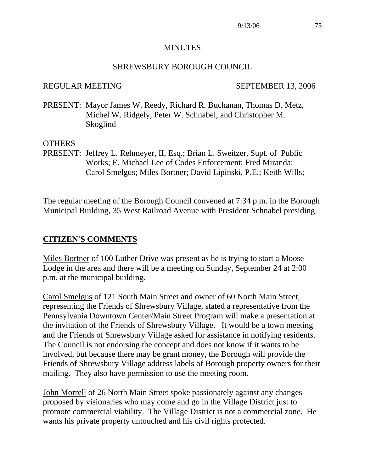#### **MINUTES**

#### SHREWSBURY BOROUGH COUNCIL

#### REGULAR MEETING SEPTEMBER 13, 2006

PRESENT: Mayor James W. Reedy, Richard R. Buchanan, Thomas D. Metz, Michel W. Ridgely, Peter W. Schnabel, and Christopher M. Skoglind

#### OTHERS

PRESENT: Jeffrey L. Rehmeyer, II, Esq.; Brian L. Sweitzer, Supt. of Public Works; E. Michael Lee of Codes Enforcement; Fred Miranda; Carol Smelgus; Miles Bortner; David Lipinski, P.E.; Keith Wills;

The regular meeting of the Borough Council convened at 7:34 p.m. in the Borough Municipal Building, 35 West Railroad Avenue with President Schnabel presiding.

#### **CITIZEN'S COMMENTS**

Miles Bortner of 100 Luther Drive was present as he is trying to start a Moose Lodge in the area and there will be a meeting on Sunday, September 24 at 2:00 p.m. at the municipal building.

Carol Smelgus of 121 South Main Street and owner of 60 North Main Street, representing the Friends of Shrewsbury Village, stated a representative from the Pennsylvania Downtown Center/Main Street Program will make a presentation at the invitation of the Friends of Shrewsbury Village. It would be a town meeting and the Friends of Shrewsbury Village asked for assistance in notifying residents. The Council is not endorsing the concept and does not know if it wants to be involved, but because there may be grant money, the Borough will provide the Friends of Shrewsbury Village address labels of Borough property owners for their mailing. They also have permission to use the meeting room.

John Morrell of 26 North Main Street spoke passionately against any changes proposed by visionaries who may come and go in the Village District just to promote commercial viability. The Village District is not a commercial zone. He wants his private property untouched and his civil rights protected.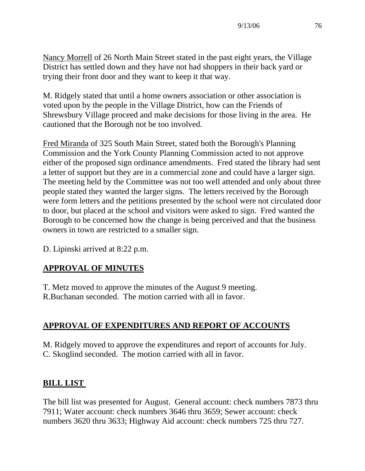Nancy Morrell of 26 North Main Street stated in the past eight years, the Village District has settled down and they have not had shoppers in their back yard or trying their front door and they want to keep it that way.

M. Ridgely stated that until a home owners association or other association is voted upon by the people in the Village District, how can the Friends of Shrewsbury Village proceed and make decisions for those living in the area. He cautioned that the Borough not be too involved.

Fred Miranda of 325 South Main Street, stated both the Borough's Planning Commission and the York County Planning Commission acted to not approve either of the proposed sign ordinance amendments. Fred stated the library had sent a letter of support but they are in a commercial zone and could have a larger sign. The meeting held by the Committee was not too well attended and only about three people stated they wanted the larger signs. The letters received by the Borough were form letters and the petitions presented by the school were not circulated door to door, but placed at the school and visitors were asked to sign. Fred wanted the Borough to be concerned how the change is being perceived and that the business owners in town are restricted to a smaller sign.

D. Lipinski arrived at 8:22 p.m.

# **APPROVAL OF MINUTES**

T. Metz moved to approve the minutes of the August 9 meeting. R.Buchanan seconded. The motion carried with all in favor.

# **APPROVAL OF EXPENDITURES AND REPORT OF ACCOUNTS**

M. Ridgely moved to approve the expenditures and report of accounts for July. C. Skoglind seconded. The motion carried with all in favor.

# **BILL LIST**

The bill list was presented for August. General account: check numbers 7873 thru 7911; Water account: check numbers 3646 thru 3659; Sewer account: check numbers 3620 thru 3633; Highway Aid account: check numbers 725 thru 727.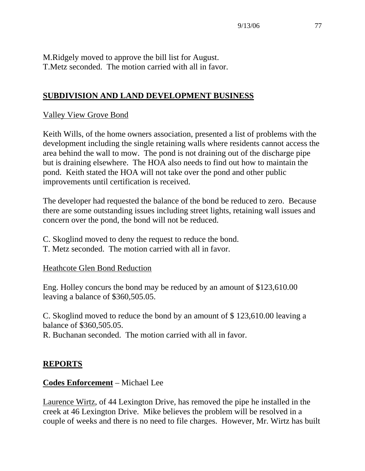M.Ridgely moved to approve the bill list for August. T.Metz seconded. The motion carried with all in favor.

### **SUBDIVISION AND LAND DEVELOPMENT BUSINESS**

#### Valley View Grove Bond

Keith Wills, of the home owners association, presented a list of problems with the development including the single retaining walls where residents cannot access the area behind the wall to mow. The pond is not draining out of the discharge pipe but is draining elsewhere. The HOA also needs to find out how to maintain the pond. Keith stated the HOA will not take over the pond and other public improvements until certification is received.

The developer had requested the balance of the bond be reduced to zero. Because there are some outstanding issues including street lights, retaining wall issues and concern over the pond, the bond will not be reduced.

- C. Skoglind moved to deny the request to reduce the bond.
- T. Metz seconded. The motion carried with all in favor.

#### Heathcote Glen Bond Reduction

Eng. Holley concurs the bond may be reduced by an amount of \$123,610.00 leaving a balance of \$360,505.05.

C. Skoglind moved to reduce the bond by an amount of \$ 123,610.00 leaving a balance of \$360,505.05.

R. Buchanan seconded. The motion carried with all in favor.

#### **REPORTS**

#### **Codes Enforcement** – Michael Lee

Laurence Wirtz, of 44 Lexington Drive, has removed the pipe he installed in the creek at 46 Lexington Drive. Mike believes the problem will be resolved in a couple of weeks and there is no need to file charges. However, Mr. Wirtz has built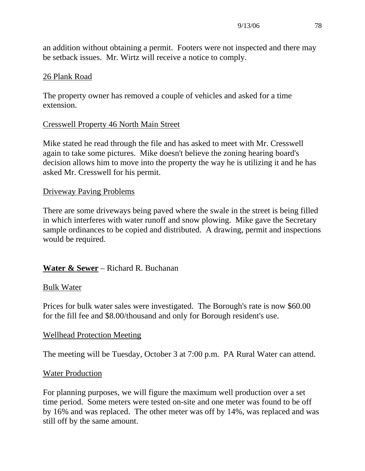an addition without obtaining a permit. Footers were not inspected and there may be setback issues. Mr. Wirtz will receive a notice to comply.

#### 26 Plank Road

The property owner has removed a couple of vehicles and asked for a time extension.

### Cresswell Property 46 North Main Street

Mike stated he read through the file and has asked to meet with Mr. Cresswell again to take some pictures. Mike doesn't believe the zoning hearing board's decision allows him to move into the property the way he is utilizing it and he has asked Mr. Cresswell for his permit.

#### Driveway Paving Problems

There are some driveways being paved where the swale in the street is being filled in which interferes with water runoff and snow plowing. Mike gave the Secretary sample ordinances to be copied and distributed. A drawing, permit and inspections would be required.

## **Water & Sewer** – Richard R. Buchanan

#### Bulk Water

Prices for bulk water sales were investigated. The Borough's rate is now \$60.00 for the fill fee and \$8.00/thousand and only for Borough resident's use.

### Wellhead Protection Meeting

The meeting will be Tuesday, October 3 at 7:00 p.m. PA Rural Water can attend.

#### Water Production

For planning purposes, we will figure the maximum well production over a set time period. Some meters were tested on-site and one meter was found to be off by 16% and was replaced. The other meter was off by 14%, was replaced and was still off by the same amount.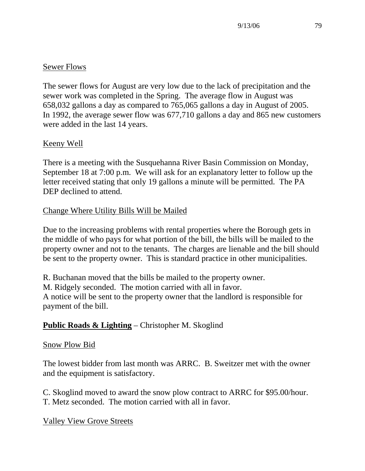## Sewer Flows

The sewer flows for August are very low due to the lack of precipitation and the sewer work was completed in the Spring. The average flow in August was 658,032 gallons a day as compared to 765,065 gallons a day in August of 2005. In 1992, the average sewer flow was 677,710 gallons a day and 865 new customers were added in the last 14 years.

## Keeny Well

There is a meeting with the Susquehanna River Basin Commission on Monday, September 18 at 7:00 p.m. We will ask for an explanatory letter to follow up the letter received stating that only 19 gallons a minute will be permitted. The PA DEP declined to attend.

## Change Where Utility Bills Will be Mailed

Due to the increasing problems with rental properties where the Borough gets in the middle of who pays for what portion of the bill, the bills will be mailed to the property owner and not to the tenants. The charges are lienable and the bill should be sent to the property owner. This is standard practice in other municipalities.

R. Buchanan moved that the bills be mailed to the property owner. M. Ridgely seconded. The motion carried with all in favor. A notice will be sent to the property owner that the landlord is responsible for payment of the bill.

# **Public Roads & Lighting** – Christopher M. Skoglind

## Snow Plow Bid

The lowest bidder from last month was ARRC. B. Sweitzer met with the owner and the equipment is satisfactory.

C. Skoglind moved to award the snow plow contract to ARRC for \$95.00/hour. T. Metz seconded. The motion carried with all in favor.

Valley View Grove Streets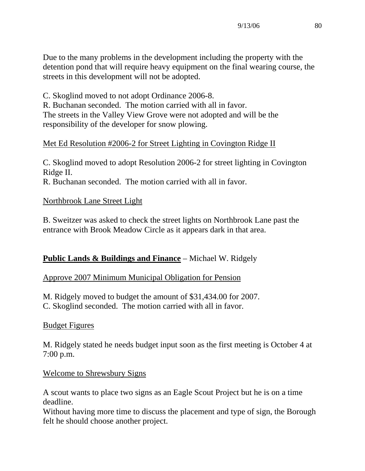Due to the many problems in the development including the property with the detention pond that will require heavy equipment on the final wearing course, the streets in this development will not be adopted.

C. Skoglind moved to not adopt Ordinance 2006-8.

R. Buchanan seconded. The motion carried with all in favor. The streets in the Valley View Grove were not adopted and will be the responsibility of the developer for snow plowing.

## Met Ed Resolution #2006-2 for Street Lighting in Covington Ridge II

C. Skoglind moved to adopt Resolution 2006-2 for street lighting in Covington Ridge II. R. Buchanan seconded. The motion carried with all in favor.

### Northbrook Lane Street Light

B. Sweitzer was asked to check the street lights on Northbrook Lane past the entrance with Brook Meadow Circle as it appears dark in that area.

## **Public Lands & Buildings and Finance** – Michael W. Ridgely

## Approve 2007 Minimum Municipal Obligation for Pension

M. Ridgely moved to budget the amount of \$31,434.00 for 2007.

C. Skoglind seconded. The motion carried with all in favor.

### Budget Figures

M. Ridgely stated he needs budget input soon as the first meeting is October 4 at 7:00 p.m.

### Welcome to Shrewsbury Signs

A scout wants to place two signs as an Eagle Scout Project but he is on a time deadline.

Without having more time to discuss the placement and type of sign, the Borough felt he should choose another project.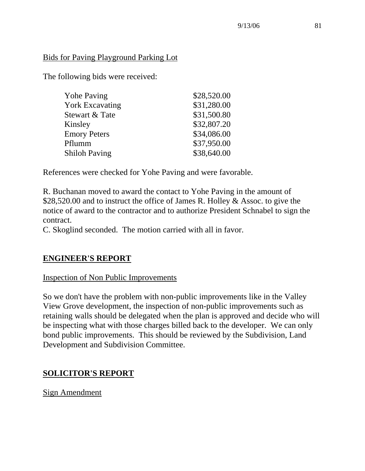### Bids for Paving Playground Parking Lot

The following bids were received:

| <b>Yohe Paving</b>     | \$28,520.00 |
|------------------------|-------------|
| <b>York Excavating</b> | \$31,280.00 |
| Stewart & Tate         | \$31,500.80 |
| Kinsley                | \$32,807.20 |
| <b>Emory Peters</b>    | \$34,086.00 |
| Pflumm                 | \$37,950.00 |
| <b>Shiloh Paving</b>   | \$38,640.00 |

References were checked for Yohe Paving and were favorable.

R. Buchanan moved to award the contact to Yohe Paving in the amount of \$28,520.00 and to instruct the office of James R. Holley & Assoc. to give the notice of award to the contractor and to authorize President Schnabel to sign the contract.

C. Skoglind seconded. The motion carried with all in favor.

## **ENGINEER'S REPORT**

## Inspection of Non Public Improvements

So we don't have the problem with non-public improvements like in the Valley View Grove development, the inspection of non-public improvements such as retaining walls should be delegated when the plan is approved and decide who will be inspecting what with those charges billed back to the developer. We can only bond public improvements. This should be reviewed by the Subdivision, Land Development and Subdivision Committee.

# **SOLICITOR'S REPORT**

Sign Amendment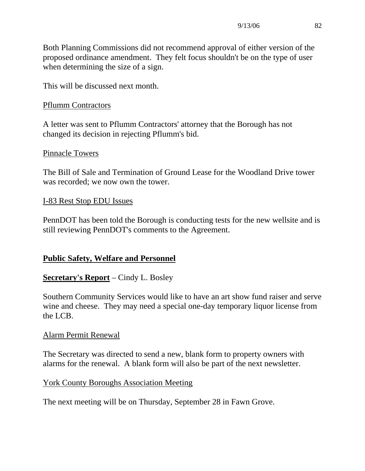Both Planning Commissions did not recommend approval of either version of the proposed ordinance amendment. They felt focus shouldn't be on the type of user when determining the size of a sign.

This will be discussed next month.

#### Pflumm Contractors

A letter was sent to Pflumm Contractors' attorney that the Borough has not changed its decision in rejecting Pflumm's bid.

#### Pinnacle Towers

The Bill of Sale and Termination of Ground Lease for the Woodland Drive tower was recorded; we now own the tower.

#### I-83 Rest Stop EDU Issues

PennDOT has been told the Borough is conducting tests for the new wellsite and is still reviewing PennDOT's comments to the Agreement.

### **Public Safety, Welfare and Personnel**

### **Secretary's Report** – Cindy L. Bosley

Southern Community Services would like to have an art show fund raiser and serve wine and cheese. They may need a special one-day temporary liquor license from the LCB.

#### Alarm Permit Renewal

The Secretary was directed to send a new, blank form to property owners with alarms for the renewal. A blank form will also be part of the next newsletter.

### York County Boroughs Association Meeting

The next meeting will be on Thursday, September 28 in Fawn Grove.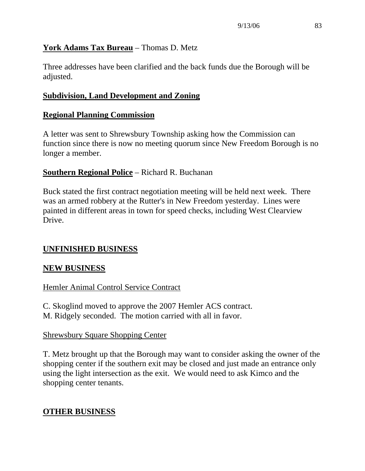## **York Adams Tax Bureau** – Thomas D. Metz

Three addresses have been clarified and the back funds due the Borough will be adjusted.

## **Subdivision, Land Development and Zoning**

## **Regional Planning Commission**

A letter was sent to Shrewsbury Township asking how the Commission can function since there is now no meeting quorum since New Freedom Borough is no longer a member.

## **Southern Regional Police** – Richard R. Buchanan

Buck stated the first contract negotiation meeting will be held next week. There was an armed robbery at the Rutter's in New Freedom yesterday. Lines were painted in different areas in town for speed checks, including West Clearview Drive.

## **UNFINISHED BUSINESS**

## **NEW BUSINESS**

## Hemler Animal Control Service Contract

C. Skoglind moved to approve the 2007 Hemler ACS contract. M. Ridgely seconded. The motion carried with all in favor.

### Shrewsbury Square Shopping Center

T. Metz brought up that the Borough may want to consider asking the owner of the shopping center if the southern exit may be closed and just made an entrance only using the light intersection as the exit. We would need to ask Kimco and the shopping center tenants.

# **OTHER BUSINESS**